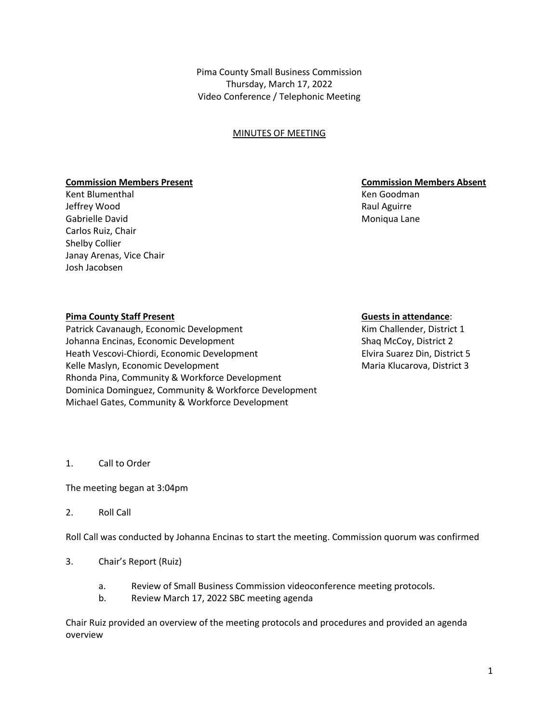Pima County Small Business Commission Thursday, March 17, 2022 Video Conference / Telephonic Meeting

## MINUTES OF MEETING

### **Commission Members Present Commission Members Absent**

Kent Blumenthal New York Channels and The Channels Channels and Ken Goodman Jeffrey Wood Raul Aguirre Gabrielle David Noniqua Lane (Gabrielle David Noniqua Lane Noniqua Lane Noniqua Lane Carlos Ruiz, Chair Shelby Collier Janay Arenas, Vice Chair Josh Jacobsen

### **Pima County Staff Present Guests in attendance**:

Patrick Cavanaugh, Economic Development Kim Challender, District 1 Johanna Encinas, Economic Development Shaq McCoy, District 2 Heath Vescovi-Chiordi, Economic Development Fluit Elvira Suarez Din, District 5 Kelle Maslyn, Economic Development Maria Klucarova, District 3 Rhonda Pina, Community & Workforce Development Dominica Dominguez, Community & Workforce Development Michael Gates, Community & Workforce Development

1. Call to Order

The meeting began at 3:04pm

2. Roll Call

Roll Call was conducted by Johanna Encinas to start the meeting. Commission quorum was confirmed

- 3. Chair's Report (Ruiz)
	- a. Review of Small Business Commission videoconference meeting protocols.
	- b. Review March 17, 2022 SBC meeting agenda

Chair Ruiz provided an overview of the meeting protocols and procedures and provided an agenda overview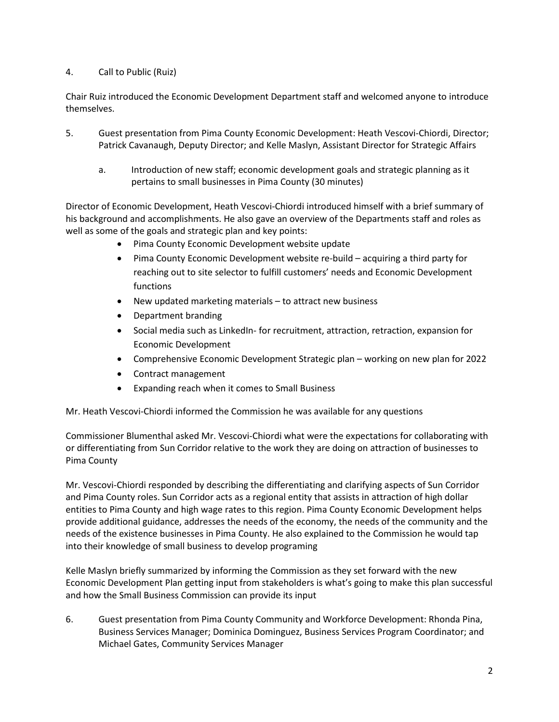# 4. Call to Public (Ruiz)

Chair Ruiz introduced the Economic Development Department staff and welcomed anyone to introduce themselves.

- 5. Guest presentation from Pima County Economic Development: Heath Vescovi-Chiordi, Director; Patrick Cavanaugh, Deputy Director; and Kelle Maslyn, Assistant Director for Strategic Affairs
	- a. Introduction of new staff; economic development goals and strategic planning as it pertains to small businesses in Pima County (30 minutes)

Director of Economic Development, Heath Vescovi-Chiordi introduced himself with a brief summary of his background and accomplishments. He also gave an overview of the Departments staff and roles as well as some of the goals and strategic plan and key points:

- Pima County Economic Development website update
- Pima County Economic Development website re-build acquiring a third party for reaching out to site selector to fulfill customers' needs and Economic Development functions
- New updated marketing materials to attract new business
- Department branding
- Social media such as LinkedIn- for recruitment, attraction, retraction, expansion for Economic Development
- Comprehensive Economic Development Strategic plan working on new plan for 2022
- Contract management
- Expanding reach when it comes to Small Business

Mr. Heath Vescovi-Chiordi informed the Commission he was available for any questions

Commissioner Blumenthal asked Mr. Vescovi-Chiordi what were the expectations for collaborating with or differentiating from Sun Corridor relative to the work they are doing on attraction of businesses to Pima County

Mr. Vescovi-Chiordi responded by describing the differentiating and clarifying aspects of Sun Corridor and Pima County roles. Sun Corridor acts as a regional entity that assists in attraction of high dollar entities to Pima County and high wage rates to this region. Pima County Economic Development helps provide additional guidance, addresses the needs of the economy, the needs of the community and the needs of the existence businesses in Pima County. He also explained to the Commission he would tap into their knowledge of small business to develop programing

Kelle Maslyn briefly summarized by informing the Commission as they set forward with the new Economic Development Plan getting input from stakeholders is what's going to make this plan successful and how the Small Business Commission can provide its input

6. Guest presentation from Pima County Community and Workforce Development: Rhonda Pina, Business Services Manager; Dominica Dominguez, Business Services Program Coordinator; and Michael Gates, Community Services Manager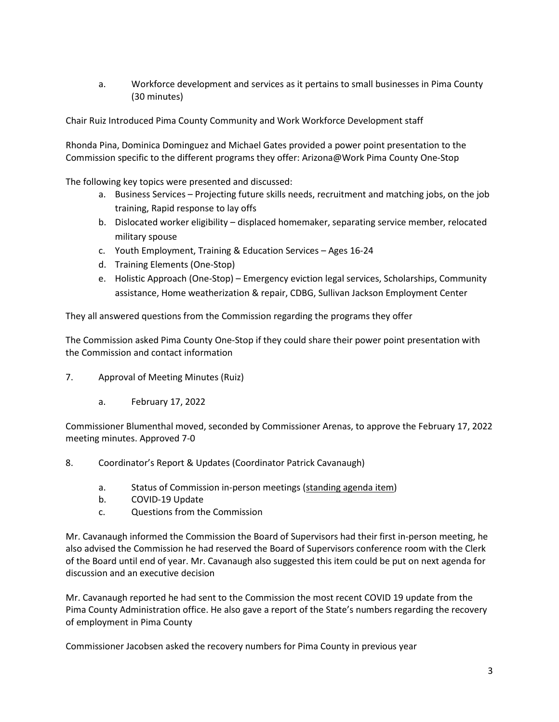a. Workforce development and services as it pertains to small businesses in Pima County (30 minutes)

Chair Ruiz Introduced Pima County Community and Work Workforce Development staff

Rhonda Pina, Dominica Dominguez and Michael Gates provided a power point presentation to the Commission specific to the different programs they offer: Arizona@Work Pima County One-Stop

The following key topics were presented and discussed:

- a. Business Services Projecting future skills needs, recruitment and matching jobs, on the job training, Rapid response to lay offs
- b. Dislocated worker eligibility displaced homemaker, separating service member, relocated military spouse
- c. Youth Employment, Training & Education Services Ages 16-24
- d. Training Elements (One-Stop)
- e. Holistic Approach (One-Stop) Emergency eviction legal services, Scholarships, Community assistance, Home weatherization & repair, CDBG, Sullivan Jackson Employment Center

They all answered questions from the Commission regarding the programs they offer

The Commission asked Pima County One-Stop if they could share their power point presentation with the Commission and contact information

- 7. Approval of Meeting Minutes (Ruiz)
	- a. February 17, 2022

Commissioner Blumenthal moved, seconded by Commissioner Arenas, to approve the February 17, 2022 meeting minutes. Approved 7-0

8. Coordinator's Report & Updates (Coordinator Patrick Cavanaugh)

- a. Status of Commission in-person meetings (standing agenda item)
- b. COVID-19 Update
- c. Questions from the Commission

Mr. Cavanaugh informed the Commission the Board of Supervisors had their first in-person meeting, he also advised the Commission he had reserved the Board of Supervisors conference room with the Clerk of the Board until end of year. Mr. Cavanaugh also suggested this item could be put on next agenda for discussion and an executive decision

Mr. Cavanaugh reported he had sent to the Commission the most recent COVID 19 update from the Pima County Administration office. He also gave a report of the State's numbers regarding the recovery of employment in Pima County

Commissioner Jacobsen asked the recovery numbers for Pima County in previous year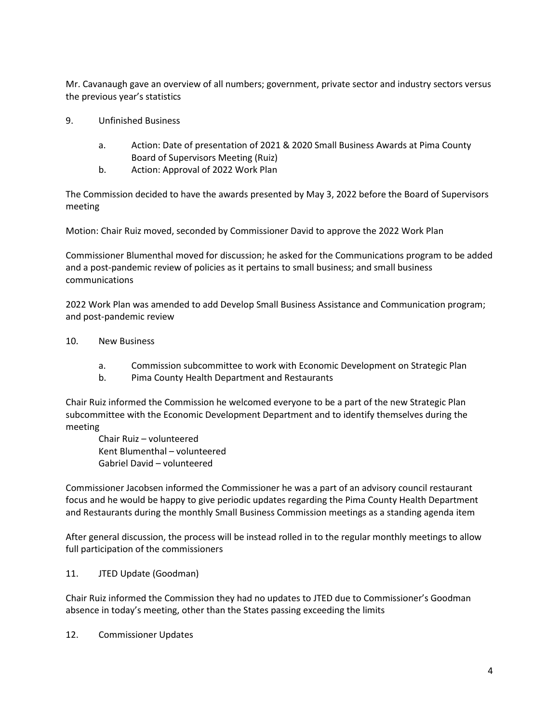Mr. Cavanaugh gave an overview of all numbers; government, private sector and industry sectors versus the previous year's statistics

- 9. Unfinished Business
	- a. Action: Date of presentation of 2021 & 2020 Small Business Awards at Pima County Board of Supervisors Meeting (Ruiz)
	- b. Action: Approval of 2022 Work Plan

The Commission decided to have the awards presented by May 3, 2022 before the Board of Supervisors meeting

Motion: Chair Ruiz moved, seconded by Commissioner David to approve the 2022 Work Plan

Commissioner Blumenthal moved for discussion; he asked for the Communications program to be added and a post-pandemic review of policies as it pertains to small business; and small business communications

2022 Work Plan was amended to add Develop Small Business Assistance and Communication program; and post-pandemic review

## 10. New Business

- a. Commission subcommittee to work with Economic Development on Strategic Plan
- b. Pima County Health Department and Restaurants

Chair Ruiz informed the Commission he welcomed everyone to be a part of the new Strategic Plan subcommittee with the Economic Development Department and to identify themselves during the meeting

Chair Ruiz – volunteered Kent Blumenthal – volunteered Gabriel David – volunteered

Commissioner Jacobsen informed the Commissioner he was a part of an advisory council restaurant focus and he would be happy to give periodic updates regarding the Pima County Health Department and Restaurants during the monthly Small Business Commission meetings as a standing agenda item

After general discussion, the process will be instead rolled in to the regular monthly meetings to allow full participation of the commissioners

11. JTED Update (Goodman)

Chair Ruiz informed the Commission they had no updates to JTED due to Commissioner's Goodman absence in today's meeting, other than the States passing exceeding the limits

12. Commissioner Updates